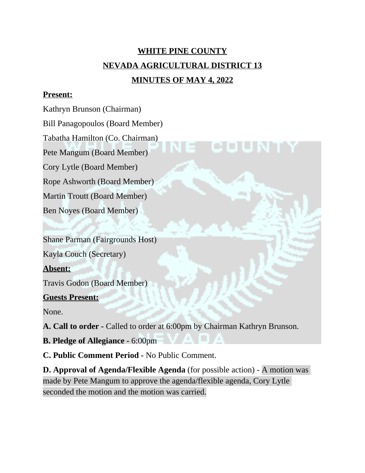# **WHITE PINE COUNTY NEVADA AGRICULTURAL DISTRICT 13 MINUTES OF MAY 4, 2022**

#### **Present:**

Kathryn Brunson (Chairman)

Bill Panagopoulos (Board Member)

Tabatha Hamilton (Co. Chairman)

Pete Mangum (Board Member)

Cory Lytle (Board Member)

Rope Ashworth (Board Member)

Martin Troutt (Board Member)

Ben Noyes (Board Member)

Shane Parman (Fairgrounds Host)

Kayla Couch (Secretary)

**Absent:**

Travis Godon (Board Member)

#### **Guests Present:**

None.

**A. Call to order -** Called to order at 6:00pm by Chairman Kathryn Brunson.

**B. Pledge of Allegiance -** 6:00pm

**C. Public Comment Period -** No Public Comment.

**D. Approval of Agenda/Flexible Agenda** (for possible action) - A motion was made by Pete Mangum to approve the agenda/flexible agenda, Cory Lytle seconded the motion and the motion was carried.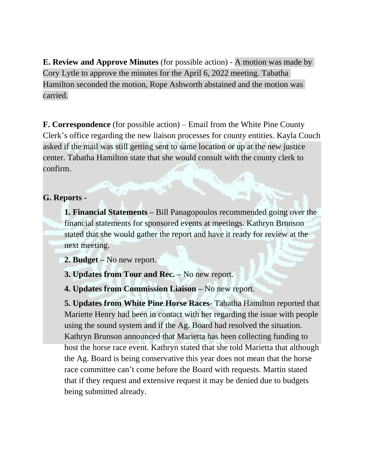**E. Review and Approve Minutes** (for possible action) - A motion was made by Cory Lytle to approve the minutes for the April 6, 2022 meeting. Tabatha Hamilton seconded the motion, Rope Ashworth abstained and the motion was carried.

**F. Correspondence** (for possible action) – Email from the White Pine County Clerk's office regarding the new liaison processes for county entities. Kayla Couch asked if the mail was still getting sent to same location or up at the new justice center. Tabatha Hamilton state that she would consult with the county clerk to confirm.

#### **G. Reports -**

**1. Financial Statements –** Bill Panagopoulos recommended going over the financial statements for sponsored events at meetings. Kathryn Bronson stated that she would gather the report and have it ready for review at the next meeting.

**2. Budget –** No new report.

**3. Updates from Tour and Rec. –** No new report.

**4. Updates from Commission Liaison –** No new report.

**5. Updates from White Pine Horse Races**- Tabatha Hamilton reported that Mariette Henry had been in contact with her regarding the issue with people using the sound system and if the Ag. Board had resolved the situation. Kathryn Brunson announced that Marietta has been collecting funding to host the horse race event. Kathryn stated that she told Marietta that although the Ag. Board is being conservative this year does not mean that the horse race committee can't come before the Board with requests. Martin stated that if they request and extensive request it may be denied due to budgets being submitted already.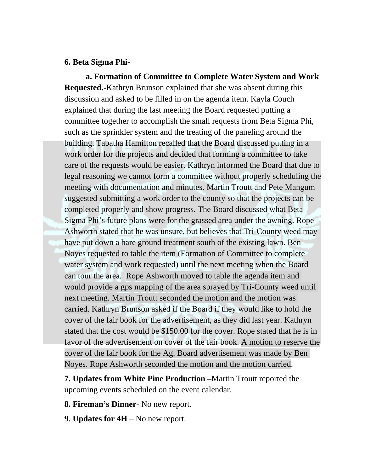#### **6. Beta Sigma Phi-**

**a. Formation of Committee to Complete Water System and Work Requested.-**Kathryn Brunson explained that she was absent during this discussion and asked to be filled in on the agenda item. Kayla Couch explained that during the last meeting the Board requested putting a committee together to accomplish the small requests from Beta Sigma Phi, such as the sprinkler system and the treating of the paneling around the building. Tabatha Hamilton recalled that the Board discussed putting in a work order for the projects and decided that forming a committee to take care of the requests would be easier. Kathryn informed the Board that due to legal reasoning we cannot form a committee without properly scheduling the meeting with documentation and minutes. Martin Troutt and Pete Mangum suggested submitting a work order to the county so that the projects can be completed properly and show progress. The Board discussed what Beta Sigma Phi's future plans were for the grassed area under the awning. Rope Ashworth stated that he was unsure, but believes that Tri-County weed may have put down a bare ground treatment south of the existing lawn. Ben Noyes requested to table the item (Formation of Committee to complete water system and work requested) until the next meeting when the Board can tour the area. Rope Ashworth moved to table the agenda item and would provide a gps mapping of the area sprayed by Tri-County weed until next meeting. Martin Troutt seconded the motion and the motion was carried. Kathryn Brunson asked if the Board if they would like to hold the cover of the fair book for the advertisement, as they did last year. Kathryn stated that the cost would be \$150.00 for the cover. Rope stated that he is in favor of the advertisement on cover of the fair book. A motion to reserve the cover of the fair book for the Ag. Board advertisement was made by Ben Noyes. Rope Ashworth seconded the motion and the motion carried.

**7. Updates from White Pine Production –**Martin Troutt reported the upcoming events scheduled on the event calendar.

- **8. Fireman's Dinner** No new report.
- **9**. **Updates for 4H**  No new report.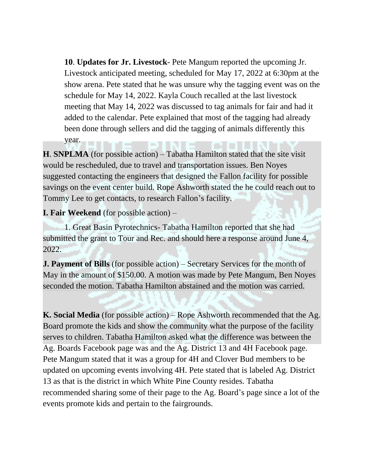**10**. **Updates for Jr. Livestock**- Pete Mangum reported the upcoming Jr. Livestock anticipated meeting, scheduled for May 17, 2022 at 6:30pm at the show arena. Pete stated that he was unsure why the tagging event was on the schedule for May 14, 2022. Kayla Couch recalled at the last livestock meeting that May 14, 2022 was discussed to tag animals for fair and had it added to the calendar. Pete explained that most of the tagging had already been done through sellers and did the tagging of animals differently this year.

**H**. **SNPLMA** (for possible action) – Tabatha Hamilton stated that the site visit would be rescheduled, due to travel and transportation issues. Ben Noyes suggested contacting the engineers that designed the Fallon facility for possible savings on the event center build. Rope Ashworth stated the he could reach out to Tommy Lee to get contacts, to research Fallon's facility.

**I. Fair Weekend** (for possible action) –

1. Great Basin Pyrotechnics- Tabatha Hamilton reported that she had submitted the grant to Tour and Rec. and should here a response around June 4, 2022.

**J. Payment of Bills** (for possible action) – Secretary Services for the month of May in the amount of \$150.00. A motion was made by Pete Mangum, Ben Noyes seconded the motion. Tabatha Hamilton abstained and the motion was carried.

**K. Social Media** (for possible action) – Rope Ashworth recommended that the Ag. Board promote the kids and show the community what the purpose of the facility serves to children. Tabatha Hamilton asked what the difference was between the Ag. Boards Facebook page was and the Ag. District 13 and 4H Facebook page. Pete Mangum stated that it was a group for 4H and Clover Bud members to be updated on upcoming events involving 4H. Pete stated that is labeled Ag. District 13 as that is the district in which White Pine County resides. Tabatha recommended sharing some of their page to the Ag. Board's page since a lot of the events promote kids and pertain to the fairgrounds.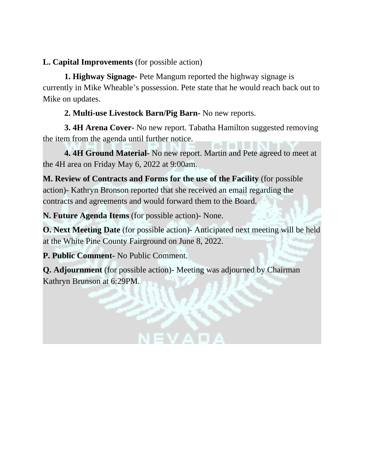### **L. Capital Improvements** (for possible action)

**1. Highway Signage-** Pete Mangum reported the highway signage is currently in Mike Wheable's possession. Pete state that he would reach back out to Mike on updates.

### **2. Multi-use Livestock Barn/Pig Barn-** No new reports.

**3. 4H Arena Cover-** No new report. Tabatha Hamilton suggested removing the item from the agenda until further notice.

**4. 4H Ground Material-** No new report. Martin and Pete agreed to meet at the 4H area on Friday May 6, 2022 at 9:00am.

**M. Review of Contracts and Forms for the use of the Facility** (for possible action)- Kathryn Bronson reported that she received an email regarding the contracts and agreements and would forward them to the Board.

**N. Future Agenda Items** (for possible action)- None.

**O. Next Meeting Date** (for possible action)- Anticipated next meeting will be held at the White Pine County Fairground on June 8, 2022.

**P. Public Comment-** No Public Comment.

**Q. Adjournment** (for possible action)- Meeting was adjourned by Chairman Kathryn Brunson at 6:29PM.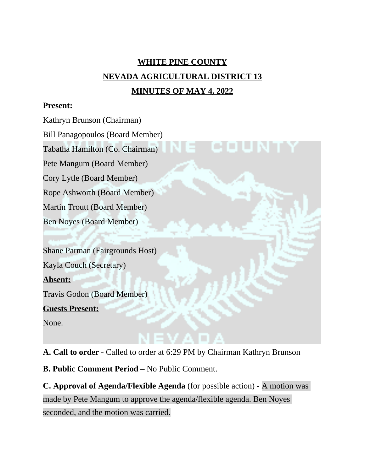# **WHITE PINE COUNTY NEVADA AGRICULTURAL DISTRICT 13 MINUTES OF MAY 4, 2022**

#### **Present:**

Kathryn Brunson (Chairman) Bill Panagopoulos (Board Member) Tabatha Hamilton (Co. Chairman) Pete Mangum (Board Member) Cory Lytle (Board Member) Rope Ashworth (Board Member) Martin Troutt (Board Member) Ben Noyes (Board Member) Shane Parman (Fairgrounds Host) Kayla Couch (Secretary) **Absent:** Travis Godon (Board Member) **Guests Present:** None.

**A. Call to order -** Called to order at 6:29 PM by Chairman Kathryn Brunson

**B. Public Comment Period –** No Public Comment.

**C. Approval of Agenda/Flexible Agenda** (for possible action) - A motion was made by Pete Mangum to approve the agenda/flexible agenda. Ben Noyes seconded, and the motion was carried.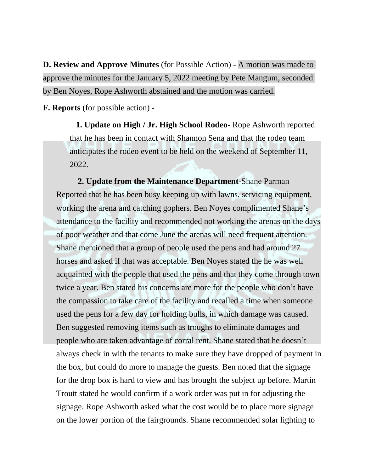**D. Review and Approve Minutes** (for Possible Action) - A motion was made to approve the minutes for the January 5, 2022 meeting by Pete Mangum, seconded by Ben Noyes, Rope Ashworth abstained and the motion was carried.

**F. Reports** (for possible action) -

 **1. Update on High / Jr. High School Rodeo-** Rope Ashworth reported that he has been in contact with Shannon Sena and that the rodeo team anticipates the rodeo event to be held on the weekend of September 11, 2022.

**2. Update from the Maintenance Department-**Shane Parman Reported that he has been busy keeping up with lawns, servicing equipment, working the arena and catching gophers. Ben Noyes complimented Shane's attendance to the facility and recommended not working the arenas on the days of poor weather and that come June the arenas will need frequent attention. Shane mentioned that a group of people used the pens and had around 27 horses and asked if that was acceptable. Ben Noyes stated the he was well acquainted with the people that used the pens and that they come through town twice a year. Ben stated his concerns are more for the people who don't have the compassion to take care of the facility and recalled a time when someone used the pens for a few day for holding bulls, in which damage was caused. Ben suggested removing items such as troughs to eliminate damages and people who are taken advantage of corral rent. Shane stated that he doesn't always check in with the tenants to make sure they have dropped of payment in the box, but could do more to manage the guests. Ben noted that the signage for the drop box is hard to view and has brought the subject up before. Martin Troutt stated he would confirm if a work order was put in for adjusting the signage. Rope Ashworth asked what the cost would be to place more signage on the lower portion of the fairgrounds. Shane recommended solar lighting to